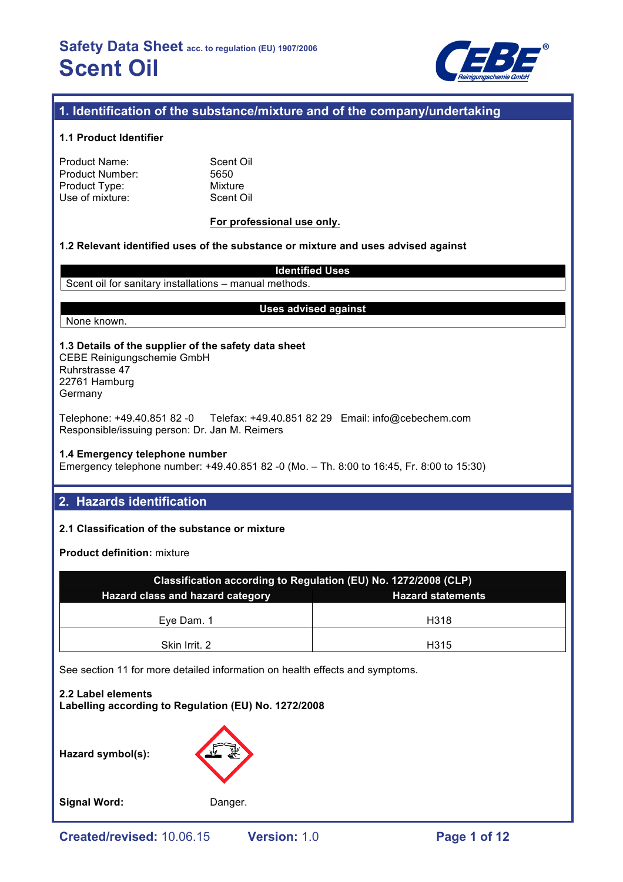

# **1. Identification of the substance/mixture and of the company/undertaking**

### **1.1 Product Identifier**

| Product Name:   |  |
|-----------------|--|
| Product Number: |  |
| Product Type:   |  |
| Use of mixture: |  |

Scent Oil 5650 **Mixture** Scent Oil

### **For professional use only.**

### **1.2 Relevant identified uses of the substance or mixture and uses advised against**

Scent oil for sanitary installations – manual methods.

### **Uses advised against**

**Identified Uses**

None known.

### **1.3 Details of the supplier of the safety data sheet**

CEBE Reinigungschemie GmbH Ruhrstrasse 47 22761 Hamburg **Germany** 

Telephone: +49.40.851 82 -0 Telefax: +49.40.851 82 29 Email: info@cebechem.com Responsible/issuing person: Dr. Jan M. Reimers

### **1.4 Emergency telephone number**

Emergency telephone number: +49.40.851 82 -0 (Mo. – Th. 8:00 to 16:45, Fr. 8:00 to 15:30)

# **2. Hazards identification**

### **2.1 Classification of the substance or mixture**

**Product definition:** mixture

| Classification according to Regulation (EU) No. 1272/2008 (CLP) |      |  |  |  |
|-----------------------------------------------------------------|------|--|--|--|
| Hazard class and hazard category<br><b>Hazard statements</b>    |      |  |  |  |
|                                                                 |      |  |  |  |
| Eve Dam, 1                                                      | H318 |  |  |  |
| Skin Irrit. 2                                                   | H315 |  |  |  |

See section 11 for more detailed information on health effects and symptoms.

**2.2 Label elements Labelling according to Regulation (EU) No. 1272/2008**

**Hazard symbol(s):**



**Signal Word:** Danger.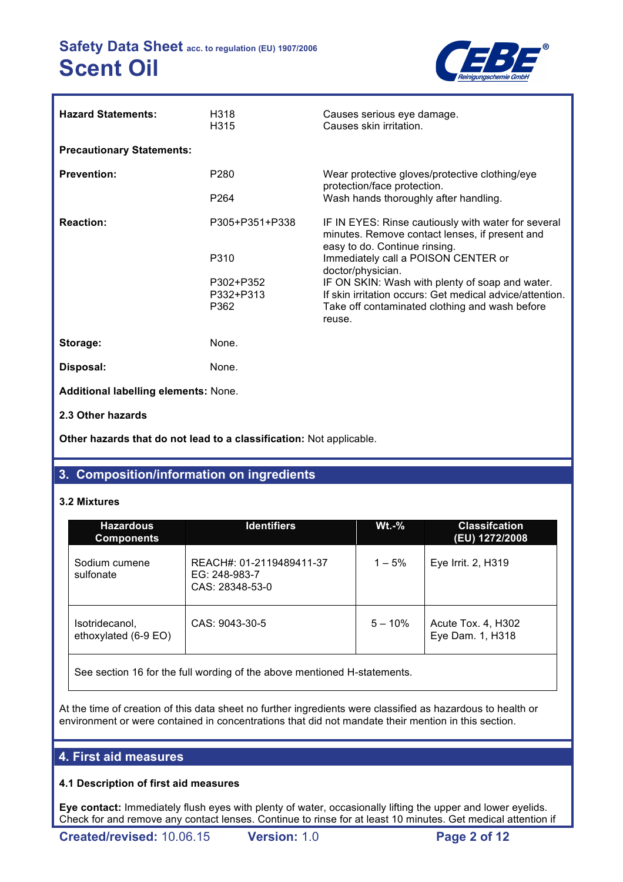

| <b>Hazard Statements:</b>            | H318<br>H315           | Causes serious eye damage.<br>Causes skin irritation.                                                                                  |
|--------------------------------------|------------------------|----------------------------------------------------------------------------------------------------------------------------------------|
| <b>Precautionary Statements:</b>     |                        |                                                                                                                                        |
| <b>Prevention:</b>                   | P <sub>280</sub>       | Wear protective gloves/protective clothing/eye<br>protection/face protection.                                                          |
|                                      | P <sub>264</sub>       | Wash hands thoroughly after handling.                                                                                                  |
| <b>Reaction:</b>                     | P305+P351+P338         | IF IN EYES: Rinse cautiously with water for several<br>minutes. Remove contact lenses, if present and<br>easy to do. Continue rinsing. |
|                                      | P310                   | Immediately call a POISON CENTER or<br>doctor/physician.                                                                               |
|                                      | P302+P352<br>P332+P313 | IF ON SKIN: Wash with plenty of soap and water.<br>If skin irritation occurs: Get medical advice/attention.                            |
|                                      | P362                   | Take off contaminated clothing and wash before<br>reuse.                                                                               |
| Storage:                             | None.                  |                                                                                                                                        |
| Disposal:                            | None.                  |                                                                                                                                        |
| Additional labelling elements: None. |                        |                                                                                                                                        |
| 2.3 Other hazards                    |                        |                                                                                                                                        |

**Other hazards that do not lead to a classification:** Not applicable.

# **3. Composition/information on ingredients**

### **3.2 Mixtures**

| <b>Hazardous</b><br><b>Components</b>                                                  | <b>Identifiers</b>                                           | $Wt.-%$    | <b>Classifcation</b><br>(EU) 1272/2008 |  |  |
|----------------------------------------------------------------------------------------|--------------------------------------------------------------|------------|----------------------------------------|--|--|
| Sodium cumene<br>sulfonate                                                             | REACH#: 01-2119489411-37<br>EG: 248-983-7<br>CAS: 28348-53-0 | $1 - 5%$   | Eye Irrit. 2, H319                     |  |  |
| Isotridecanol,<br>ethoxylated (6-9 EO)                                                 | CAS: 9043-30-5                                               | $5 - 10\%$ | Acute Tox. 4, H302<br>Eye Dam. 1, H318 |  |  |
| Can continue 40 faithea full would as a file a player months was illeted and a control |                                                              |            |                                        |  |  |

See section 16 for the full wording of the above mentioned H-statements.

At the time of creation of this data sheet no further ingredients were classified as hazardous to health or environment or were contained in concentrations that did not mandate their mention in this section.

# **4. First aid measures**

### **4.1 Description of first aid measures**

**Eye contact:** Immediately flush eyes with plenty of water, occasionally lifting the upper and lower eyelids. Check for and remove any contact lenses. Continue to rinse for at least 10 minutes. Get medical attention if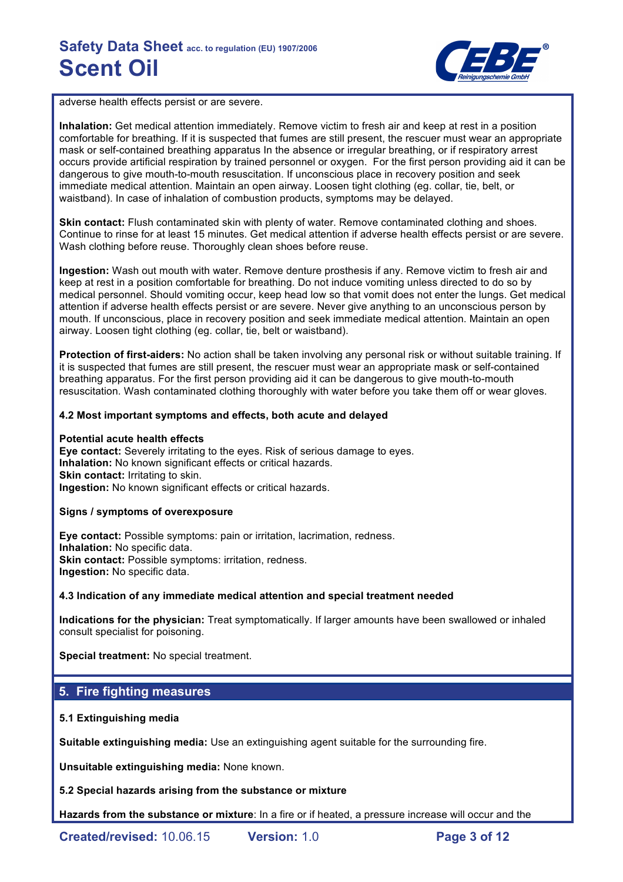

adverse health effects persist or are severe.

**Inhalation:** Get medical attention immediately. Remove victim to fresh air and keep at rest in a position comfortable for breathing. If it is suspected that fumes are still present, the rescuer must wear an appropriate mask or self-contained breathing apparatus In the absence or irregular breathing, or if respiratory arrest occurs provide artificial respiration by trained personnel or oxygen. For the first person providing aid it can be dangerous to give mouth-to-mouth resuscitation. If unconscious place in recovery position and seek immediate medical attention. Maintain an open airway. Loosen tight clothing (eg. collar, tie, belt, or waistband). In case of inhalation of combustion products, symptoms may be delayed.

**Skin contact:** Flush contaminated skin with plenty of water. Remove contaminated clothing and shoes. Continue to rinse for at least 15 minutes. Get medical attention if adverse health effects persist or are severe. Wash clothing before reuse. Thoroughly clean shoes before reuse.

**Ingestion:** Wash out mouth with water. Remove denture prosthesis if any. Remove victim to fresh air and keep at rest in a position comfortable for breathing. Do not induce vomiting unless directed to do so by medical personnel. Should vomiting occur, keep head low so that vomit does not enter the lungs. Get medical attention if adverse health effects persist or are severe. Never give anything to an unconscious person by mouth. If unconscious, place in recovery position and seek immediate medical attention. Maintain an open airway. Loosen tight clothing (eg. collar, tie, belt or waistband).

**Protection of first-aiders:** No action shall be taken involving any personal risk or without suitable training. If it is suspected that fumes are still present, the rescuer must wear an appropriate mask or self-contained breathing apparatus. For the first person providing aid it can be dangerous to give mouth-to-mouth resuscitation. Wash contaminated clothing thoroughly with water before you take them off or wear gloves.

### **4.2 Most important symptoms and effects, both acute and delayed**

### **Potential acute health effects**

**Eye contact:** Severely irritating to the eyes. Risk of serious damage to eyes. **Inhalation:** No known significant effects or critical hazards. **Skin contact: Irritating to skin. Ingestion:** No known significant effects or critical hazards.

### **Signs / symptoms of overexposure**

**Eye contact:** Possible symptoms: pain or irritation, lacrimation, redness. **Inhalation:** No specific data. **Skin contact: Possible symptoms: irritation, redness. Ingestion:** No specific data.

### **4.3 Indication of any immediate medical attention and special treatment needed**

**Indications for the physician:** Treat symptomatically. If larger amounts have been swallowed or inhaled consult specialist for poisoning.

**Special treatment:** No special treatment.

# **5. Fire fighting measures**

### **5.1 Extinguishing media**

**Suitable extinguishing media:** Use an extinguishing agent suitable for the surrounding fire.

**Unsuitable extinguishing media:** None known.

**5.2 Special hazards arising from the substance or mixture**

**Hazards from the substance or mixture**: In a fire or if heated, a pressure increase will occur and the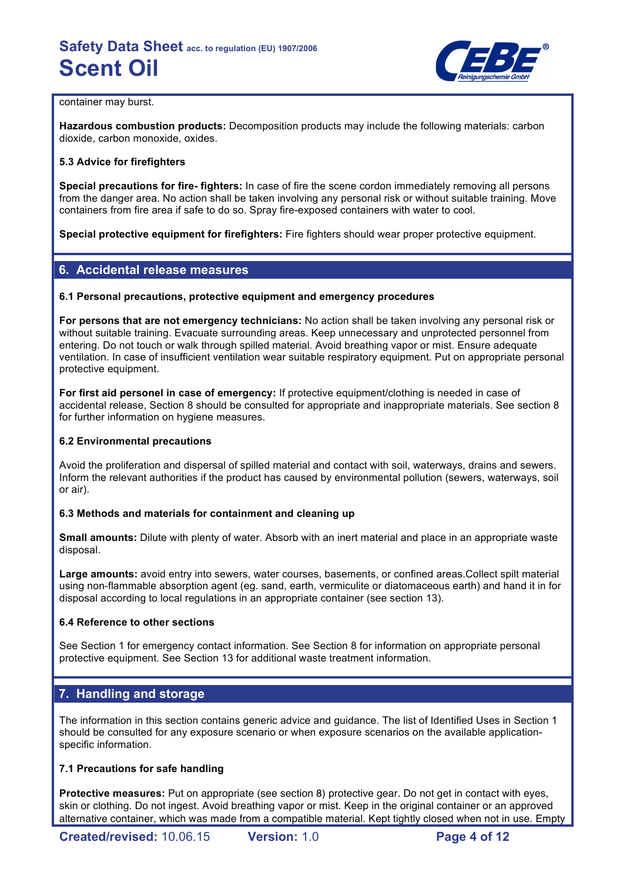

### container may burst.

**Hazardous combustion products:** Decomposition products may include the following materials: carbon dioxide, carbon monoxide, oxides.

### **5.3 Advice for firefighters**

**Special precautions for fire- fighters:** In case of fire the scene cordon immediately removing all persons from the danger area. No action shall be taken involving any personal risk or without suitable training. Move containers from fire area if safe to do so. Spray fire-exposed containers with water to cool.

**Special protective equipment for firefighters:** Fire fighters should wear proper protective equipment.

### **6. Accidental release measures**

### **6.1 Personal precautions, protective equipment and emergency procedures**

**For persons that are not emergency technicians:** No action shall be taken involving any personal risk or without suitable training. Evacuate surrounding areas. Keep unnecessary and unprotected personnel from entering. Do not touch or walk through spilled material. Avoid breathing vapor or mist. Ensure adequate ventilation. In case of insufficient ventilation wear suitable respiratory equipment. Put on appropriate personal protective equipment.

**For first aid personel in case of emergency:** If protective equipment/clothing is needed in case of accidental release, Section 8 should be consulted for appropriate and inappropriate materials. See section 8 for further information on hygiene measures.

### **6.2 Environmental precautions**

Avoid the proliferation and dispersal of spilled material and contact with soil, waterways, drains and sewers. Inform the relevant authorities if the product has caused by environmental pollution (sewers, waterways, soil or air).

### **6.3 Methods and materials for containment and cleaning up**

**Small amounts:** Dilute with plenty of water. Absorb with an inert material and place in an appropriate waste disposal.

**Large amounts:** avoid entry into sewers, water courses, basements, or confined areas.Collect spilt material using non-flammable absorption agent (eg. sand, earth, vermiculite or diatomaceous earth) and hand it in for disposal according to local regulations in an appropriate container (see section 13).

### **6.4 Reference to other sections**

See Section 1 for emergency contact information. See Section 8 for information on appropriate personal protective equipment. See Section 13 for additional waste treatment information.

# **7. Handling and storage**

The information in this section contains generic advice and guidance. The list of Identified Uses in Section 1 should be consulted for any exposure scenario or when exposure scenarios on the available applicationspecific information.

### **7.1 Precautions for safe handling**

**Protective measures:** Put on appropriate (see section 8) protective gear. Do not get in contact with eyes, skin or clothing. Do not ingest. Avoid breathing vapor or mist. Keep in the original container or an approved alternative container, which was made from a compatible material. Kept tightly closed when not in use. Empty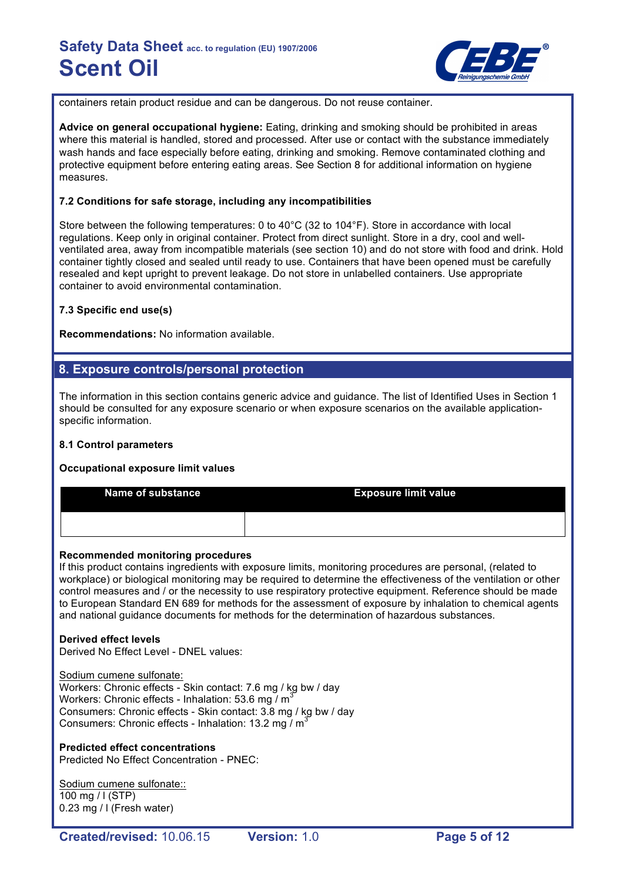

containers retain product residue and can be dangerous. Do not reuse container.

**Advice on general occupational hygiene:** Eating, drinking and smoking should be prohibited in areas where this material is handled, stored and processed. After use or contact with the substance immediately wash hands and face especially before eating, drinking and smoking. Remove contaminated clothing and protective equipment before entering eating areas. See Section 8 for additional information on hygiene measures.

### **7.2 Conditions for safe storage, including any incompatibilities**

Store between the following temperatures: 0 to 40°C (32 to 104°F). Store in accordance with local regulations. Keep only in original container. Protect from direct sunlight. Store in a dry, cool and wellventilated area, away from incompatible materials (see section 10) and do not store with food and drink. Hold container tightly closed and sealed until ready to use. Containers that have been opened must be carefully resealed and kept upright to prevent leakage. Do not store in unlabelled containers. Use appropriate container to avoid environmental contamination.

### **7.3 Specific end use(s)**

**Recommendations:** No information available.

## **8. Exposure controls/personal protection**

The information in this section contains generic advice and guidance. The list of Identified Uses in Section 1 should be consulted for any exposure scenario or when exposure scenarios on the available applicationspecific information.

### **8.1 Control parameters**

### **Occupational exposure limit values**

| <b>Name of substance</b> | <b>Exposure limit value</b> |
|--------------------------|-----------------------------|
|                          |                             |

### **Recommended monitoring procedures**

If this product contains ingredients with exposure limits, monitoring procedures are personal, (related to workplace) or biological monitoring may be required to determine the effectiveness of the ventilation or other control measures and / or the necessity to use respiratory protective equipment. Reference should be made to European Standard EN 689 for methods for the assessment of exposure by inhalation to chemical agents and national guidance documents for methods for the determination of hazardous substances.

### **Derived effect levels**

Derived No Effect Level - DNEL values:

Sodium cumene sulfonate:

Workers: Chronic effects - Skin contact: 7.6 mg / kg bw / day Workers: Chronic effects - Inhalation: 53.6 mg /  $m^3$ Consumers: Chronic effects - Skin contact: 3.8 mg / kg bw / day Consumers: Chronic effects - Inhalation: 13.2 mg / m<sup>3</sup>

# **Predicted effect concentrations**

Predicted No Effect Concentration - PNEC:

Sodium cumene sulfonate:: 100 mg / l (STP) 0.23 mg / l (Fresh water)

**Created/revised:** 10.06.15 **Version:** 1.0 **Page 5 of 12**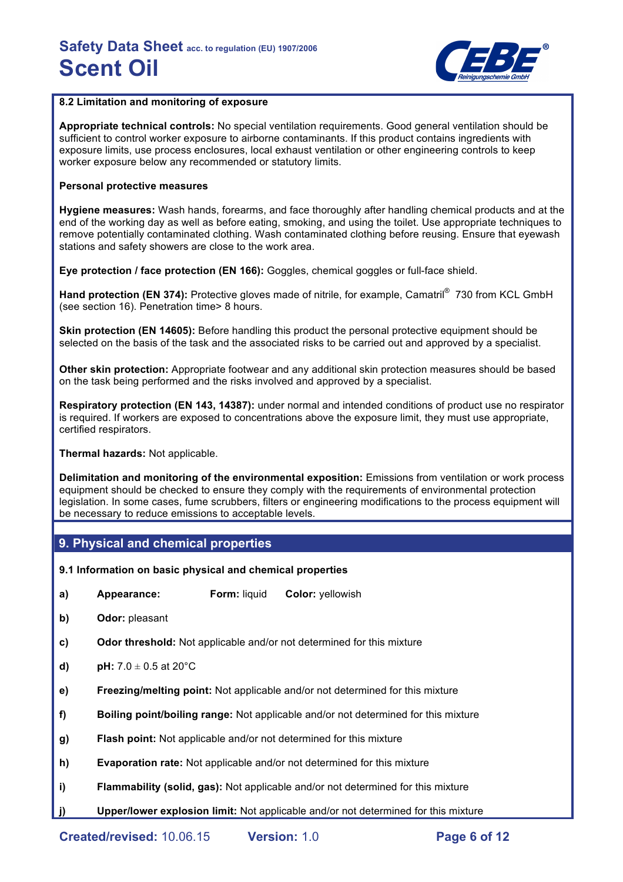

### **8.2 Limitation and monitoring of exposure**

**Appropriate technical controls:** No special ventilation requirements. Good general ventilation should be sufficient to control worker exposure to airborne contaminants. If this product contains ingredients with exposure limits, use process enclosures, local exhaust ventilation or other engineering controls to keep worker exposure below any recommended or statutory limits.

### **Personal protective measures**

**Hygiene measures:** Wash hands, forearms, and face thoroughly after handling chemical products and at the end of the working day as well as before eating, smoking, and using the toilet. Use appropriate techniques to remove potentially contaminated clothing. Wash contaminated clothing before reusing. Ensure that eyewash stations and safety showers are close to the work area.

**Eye protection / face protection (EN 166):** Goggles, chemical goggles or full-face shield.

Hand protection (EN 374): Protective gloves made of nitrile, for example, Camatril<sup>®</sup> 730 from KCL GmbH (see section 16). Penetration time> 8 hours.

**Skin protection (EN 14605):** Before handling this product the personal protective equipment should be selected on the basis of the task and the associated risks to be carried out and approved by a specialist.

**Other skin protection:** Appropriate footwear and any additional skin protection measures should be based on the task being performed and the risks involved and approved by a specialist.

**Respiratory protection (EN 143, 14387):** under normal and intended conditions of product use no respirator is required. If workers are exposed to concentrations above the exposure limit, they must use appropriate, certified respirators.

**Thermal hazards:** Not applicable.

**Delimitation and monitoring of the environmental exposition:** Emissions from ventilation or work process equipment should be checked to ensure they comply with the requirements of environmental protection legislation. In some cases, fume scrubbers, filters or engineering modifications to the process equipment will be necessary to reduce emissions to acceptable levels.

## **9. Physical and chemical properties**

- **9.1 Information on basic physical and chemical properties**
- **a) Appearance: Form:** liquid **Color:** yellowish
- **b) Odor:** pleasant
- **c) Odor threshold:** Not applicable and/or not determined for this mixture
- **d) pH:**  $7.0 \pm 0.5$  at  $20^{\circ}$ C
- **e) Freezing/melting point:** Not applicable and/or not determined for this mixture
- **f) Boiling point/boiling range:** Not applicable and/or not determined for this mixture
- **g) Flash point:** Not applicable and/or not determined for this mixture
- **h) Evaporation rate:** Not applicable and/or not determined for this mixture
- **i) Flammability (solid, gas):** Not applicable and/or not determined for this mixture
- **j) Upper/lower explosion limit:** Not applicable and/or not determined for this mixture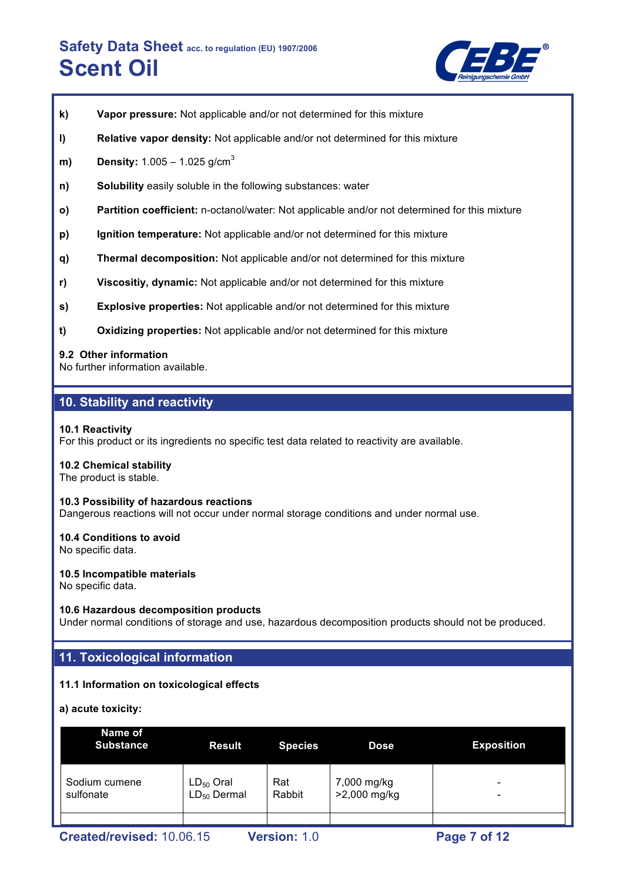

- **k) Vapor pressure:** Not applicable and/or not determined for this mixture
- **l) Relative vapor density:** Not applicable and/or not determined for this mixture
- **m) Density:** 1.005 1.025 g/cm<sup>3</sup>
- **n) Solubility** easily soluble in the following substances: water
- **o) Partition coefficient:** n-octanol/water: Not applicable and/or not determined for this mixture
- **p) Ignition temperature:** Not applicable and/or not determined for this mixture
- **q) Thermal decomposition:** Not applicable and/or not determined for this mixture
- **r) Viscositiy, dynamic:** Not applicable and/or not determined for this mixture
- **s) Explosive properties:** Not applicable and/or not determined for this mixture
- **t) Oxidizing properties:** Not applicable and/or not determined for this mixture

### **9.2 Other information**

No further information available.

# **10. Stability and reactivity**

### **10.1 Reactivity**

For this product or its ingredients no specific test data related to reactivity are available.

### **10.2 Chemical stability**

The product is stable.

### **10.3 Possibility of hazardous reactions**

Dangerous reactions will not occur under normal storage conditions and under normal use.

### **10.4 Conditions to avoid**

No specific data.

### **10.5 Incompatible materials**

No specific data.

### **10.6 Hazardous decomposition products**

Under normal conditions of storage and use, hazardous decomposition products should not be produced.

## **11. Toxicological information**

### **11.1 Information on toxicological effects**

**a) acute toxicity:**

|                                                  | Name of<br><b>Substance</b> | <b>Result</b>                      | <b>Species</b> | <b>Dose</b>                 | <b>Exposition</b> |
|--------------------------------------------------|-----------------------------|------------------------------------|----------------|-----------------------------|-------------------|
|                                                  | Sodium cumene<br>sulfonate  | $LD_{50}$ Oral<br>$LD_{50}$ Dermal | Rat<br>Rabbit  | 7,000 mg/kg<br>>2,000 mg/kg | -<br>-            |
|                                                  |                             |                                    |                |                             |                   |
| Created/revised: 10.06.15<br><b>Version: 1.0</b> |                             |                                    |                |                             | Page 7 of 12      |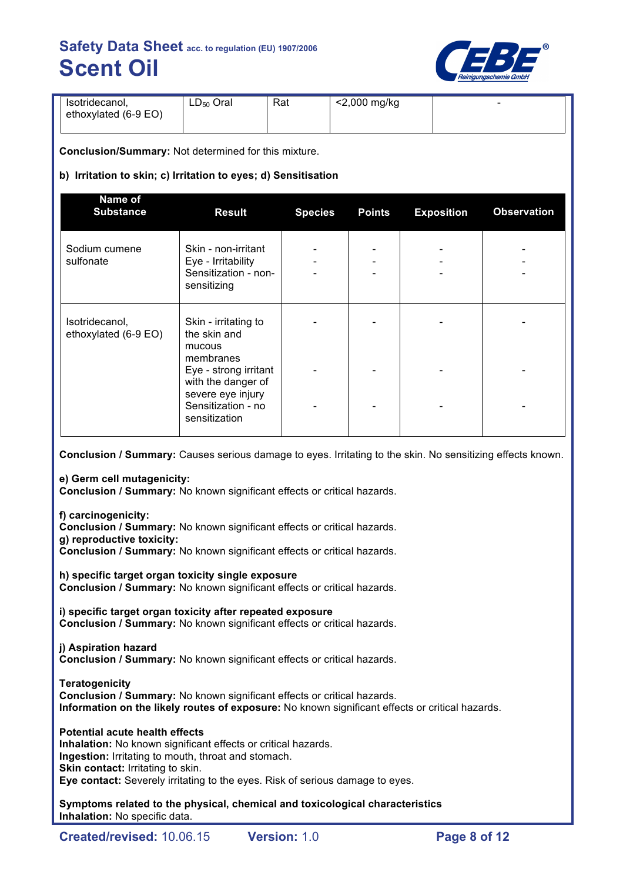

| Isotridecanol,       | $LD_{50}$ Oral | Rat | <2,000 mg/kg | $\overline{\phantom{0}}$ |
|----------------------|----------------|-----|--------------|--------------------------|
| ethoxylated (6-9 EO) |                |     |              |                          |

**Conclusion/Summary:** Not determined for this mixture.

### **b) Irritation to skin; c) Irritation to eyes; d) Sensitisation**

| Name of<br><b>Substance</b>            | <b>Result</b>                                                                                           | <b>Species</b> | <b>Points</b> | <b>Exposition</b> | <b>Observation</b> |
|----------------------------------------|---------------------------------------------------------------------------------------------------------|----------------|---------------|-------------------|--------------------|
| Sodium cumene<br>sulfonate             | Skin - non-irritant<br>Eye - Irritability<br>Sensitization - non-<br>sensitizing                        |                |               |                   |                    |
| Isotridecanol,<br>ethoxylated (6-9 EO) | Skin - irritating to<br>the skin and<br>mucous<br>membranes                                             |                |               |                   |                    |
|                                        | Eye - strong irritant<br>with the danger of<br>severe eye injury<br>Sensitization - no<br>sensitization |                |               |                   |                    |

**Conclusion / Summary:** Causes serious damage to eyes. Irritating to the skin. No sensitizing effects known.

**e) Germ cell mutagenicity:**

**Conclusion / Summary:** No known significant effects or critical hazards.

**f) carcinogenicity:**

**Conclusion / Summary:** No known significant effects or critical hazards. **g) reproductive toxicity:**

**Conclusion / Summary:** No known significant effects or critical hazards.

**h) specific target organ toxicity single exposure Conclusion / Summary:** No known significant effects or critical hazards.

**i) specific target organ toxicity after repeated exposure Conclusion / Summary:** No known significant effects or critical hazards.

## **j) Aspiration hazard**

**Conclusion / Summary:** No known significant effects or critical hazards.

**Teratogenicity Conclusion / Summary:** No known significant effects or critical hazards. **Information on the likely routes of exposure:** No known significant effects or critical hazards.

**Potential acute health effects Inhalation:** No known significant effects or critical hazards. **Ingestion:** Irritating to mouth, throat and stomach. **Skin contact: Irritating to skin. Eye contact:** Severely irritating to the eyes. Risk of serious damage to eyes.

**Symptoms related to the physical, chemical and toxicological characteristics Inhalation:** No specific data.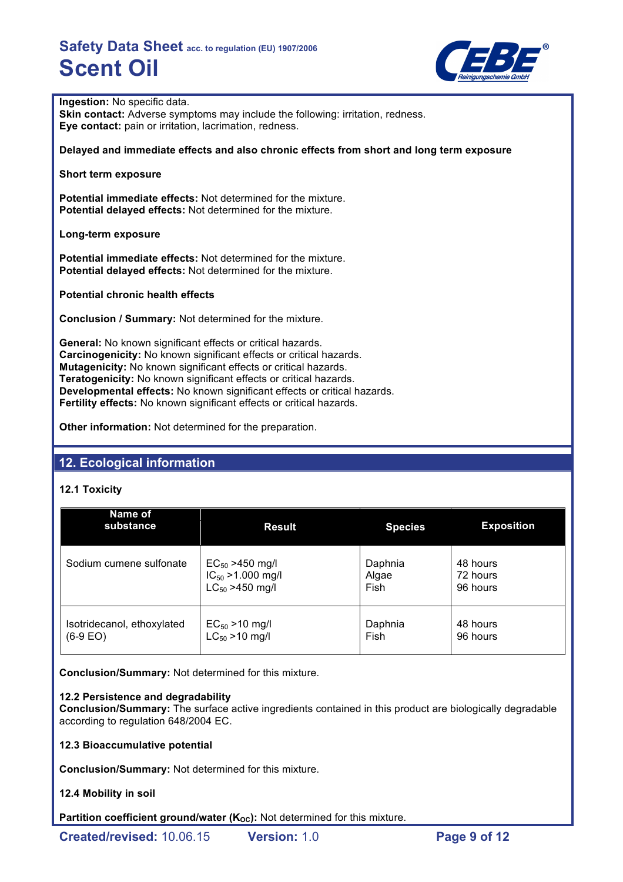

**Ingestion:** No specific data.

**Skin contact:** Adverse symptoms may include the following: irritation, redness. **Eye contact:** pain or irritation, lacrimation, redness.

**Delayed and immediate effects and also chronic effects from short and long term exposure**

**Short term exposure**

**Potential immediate effects:** Not determined for the mixture. **Potential delayed effects:** Not determined for the mixture.

**Long-term exposure**

**Potential immediate effects:** Not determined for the mixture. **Potential delayed effects:** Not determined for the mixture.

**Potential chronic health effects**

**Conclusion / Summary:** Not determined for the mixture.

**General:** No known significant effects or critical hazards. **Carcinogenicity:** No known significant effects or critical hazards. **Mutagenicity:** No known significant effects or critical hazards. **Teratogenicity:** No known significant effects or critical hazards. **Developmental effects:** No known significant effects or critical hazards. **Fertility effects:** No known significant effects or critical hazards.

**Other information:** Not determined for the preparation.

# **12. Ecological information**

### **12.1 Toxicity**

| Name of<br>substance       | <b>Result</b>          | <b>Species</b> | <b>Exposition</b> |
|----------------------------|------------------------|----------------|-------------------|
| Sodium cumene sulfonate    | $EC_{50}$ >450 mg/l    | Daphnia        | 48 hours          |
|                            | $IC_{50} > 1.000$ mg/l | Algae          | 72 hours          |
|                            | $LC_{50} > 450$ mg/l   | Fish           | 96 hours          |
| Isotridecanol, ethoxylated | $EC_{50} > 10$ mg/l    | Daphnia        | 48 hours          |
| $(6-9 EO)$                 | $LC_{50}$ > 10 mg/l    | Fish           | 96 hours          |

**Conclusion/Summary:** Not determined for this mixture.

### **12.2 Persistence and degradability**

**Conclusion/Summary:** The surface active ingredients contained in this product are biologically degradable according to regulation 648/2004 EC.

**12.3 Bioaccumulative potential**

**Conclusion/Summary:** Not determined for this mixture.

### **12.4 Mobility in soil**

Partition coefficient ground/water (K<sub>oc</sub>): Not determined for this mixture.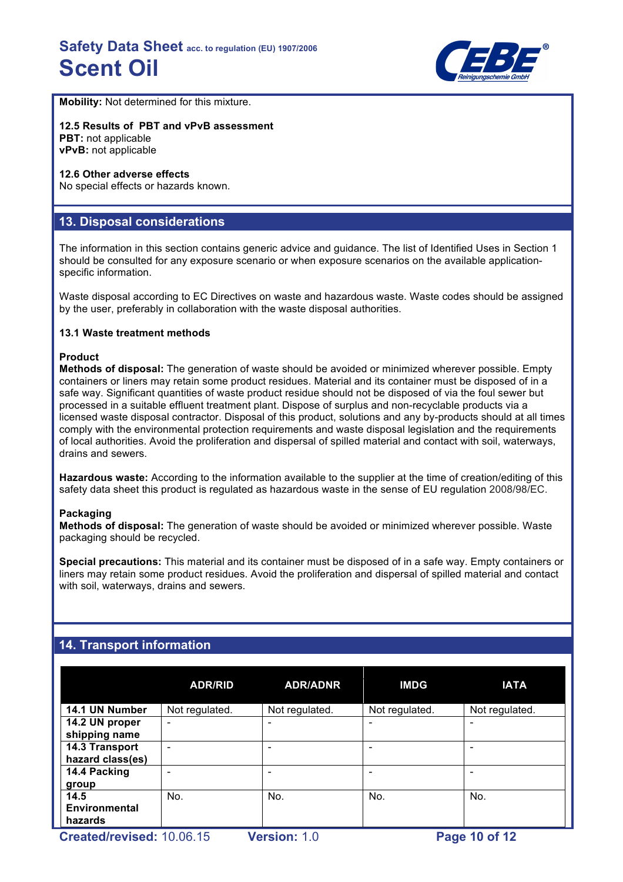

**Mobility:** Not determined for this mixture.

### **12.5 Results of PBT and vPvB assessment PBT:** not applicable

**vPvB:** not applicable

### **12.6 Other adverse effects**

No special effects or hazards known.

# **13. Disposal considerations**

The information in this section contains generic advice and guidance. The list of Identified Uses in Section 1 should be consulted for any exposure scenario or when exposure scenarios on the available applicationspecific information.

Waste disposal according to EC Directives on waste and hazardous waste. Waste codes should be assigned by the user, preferably in collaboration with the waste disposal authorities.

### **13.1 Waste treatment methods**

### **Product**

**Methods of disposal:** The generation of waste should be avoided or minimized wherever possible. Empty containers or liners may retain some product residues. Material and its container must be disposed of in a safe way. Significant quantities of waste product residue should not be disposed of via the foul sewer but processed in a suitable effluent treatment plant. Dispose of surplus and non-recyclable products via a licensed waste disposal contractor. Disposal of this product, solutions and any by-products should at all times comply with the environmental protection requirements and waste disposal legislation and the requirements of local authorities. Avoid the proliferation and dispersal of spilled material and contact with soil, waterways, drains and sewers.

**Hazardous waste:** According to the information available to the supplier at the time of creation/editing of this safety data sheet this product is regulated as hazardous waste in the sense of EU regulation 2008/98/EC.

### **Packaging**

**Methods of disposal:** The generation of waste should be avoided or minimized wherever possible. Waste packaging should be recycled.

**Special precautions:** This material and its container must be disposed of in a safe way. Empty containers or liners may retain some product residues. Avoid the proliferation and dispersal of spilled material and contact with soil, waterways, drains and sewers.

# **14. Transport information**

|                      | <b>ADR/RID</b>                                                      | <b>ADR/ADNR</b> | <b>IMDG</b>    | <b>IATA</b>    |  |
|----------------------|---------------------------------------------------------------------|-----------------|----------------|----------------|--|
| 14.1 UN Number       | Not regulated.                                                      | Not regulated.  | Not regulated. | Not regulated. |  |
| 14.2 UN proper       | -                                                                   |                 |                |                |  |
| shipping name        |                                                                     |                 |                |                |  |
| 14.3 Transport       | -                                                                   |                 |                |                |  |
| hazard class(es)     |                                                                     |                 |                |                |  |
| 14.4 Packing         |                                                                     |                 |                |                |  |
| group                |                                                                     |                 |                |                |  |
| 14.5                 | No.                                                                 | No.             | No.            | No.            |  |
| <b>Environmental</b> |                                                                     |                 |                |                |  |
| hazards              |                                                                     |                 |                |                |  |
|                      | Crostod/rovisod: 10.06.15<br>$V$ oroion: 1 $\cap$<br>$Dao 40 of 49$ |                 |                |                |  |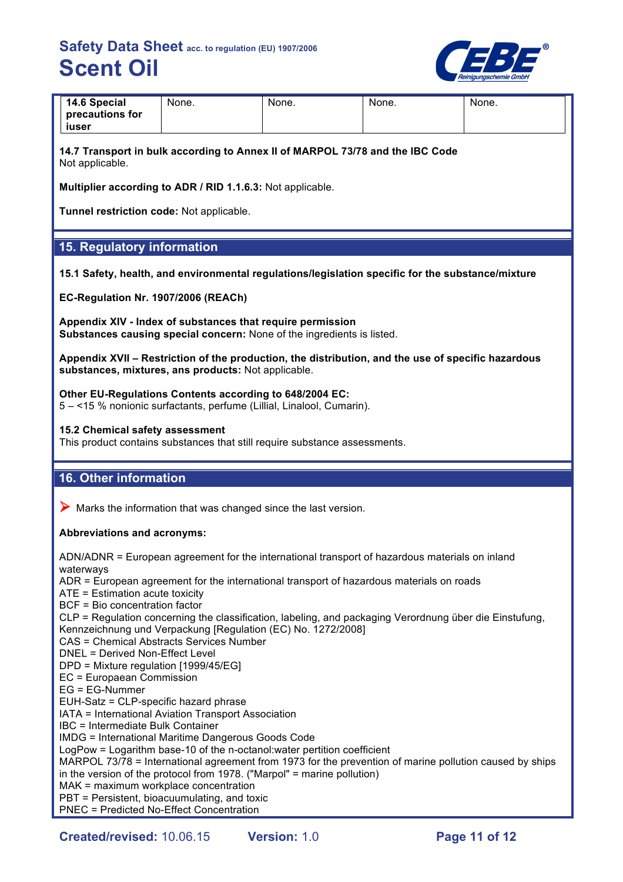

| 14.6 Special    | None. | None. | None. | None. |
|-----------------|-------|-------|-------|-------|
| precautions for |       |       |       |       |
| iuser           |       |       |       |       |

**14.7 Transport in bulk according to Annex II of MARPOL 73/78 and the IBC Code** Not applicable.

**Multiplier according to ADR / RID 1.1.6.3:** Not applicable.

**Tunnel restriction code:** Not applicable.

## **15. Regulatory information**

**15.1 Safety, health, and environmental regulations/legislation specific for the substance/mixture**

**EC-Regulation Nr. 1907/2006 (REACh)**

**Appendix XIV - Index of substances that require permission Substances causing special concern:** None of the ingredients is listed.

**Appendix XVII – Restriction of the production, the distribution, and the use of specific hazardous substances, mixtures, ans products:** Not applicable.

### **Other EU-Regulations Contents according to 648/2004 EC:**

5 – <15 % nonionic surfactants, perfume (Lillial, Linalool, Cumarin).

### **15.2 Chemical safety assessment**

This product contains substances that still require substance assessments.

# **16. Other information**

 $\triangleright$  Marks the information that was changed since the last version.

### **Abbreviations and acronyms:**

ADN/ADNR = European agreement for the international transport of hazardous materials on inland waterways

ADR = European agreement for the international transport of hazardous materials on roads

ATE = Estimation acute toxicity

BCF = Bio concentration factor

CLP = Regulation concerning the classification, labeling, and packaging Verordnung über die Einstufung, Kennzeichnung und Verpackung [Regulation (EC) No. 1272/2008]

CAS = Chemical Abstracts Services Number

- DNEL = Derived Non-Effect Level
- DPD = Mixture regulation [1999/45/EG]
- EC = Europaean Commission
- EG = EG-Nummer

EUH-Satz = CLP-specific hazard phrase

- IATA = International Aviation Transport Association
- IBC = Intermediate Bulk Container

IMDG = International Maritime Dangerous Goods Code

LogPow = Logarithm base-10 of the n-octanol:water pertition coefficient

MARPOL 73/78 = International agreement from 1973 for the prevention of marine pollution caused by ships in the version of the protocol from 1978. ("Marpol" = marine pollution)

MAK = maximum workplace concentration

PBT = Persistent, bioacuumulating, and toxic

PNEC = Predicted No-Effect Concentration